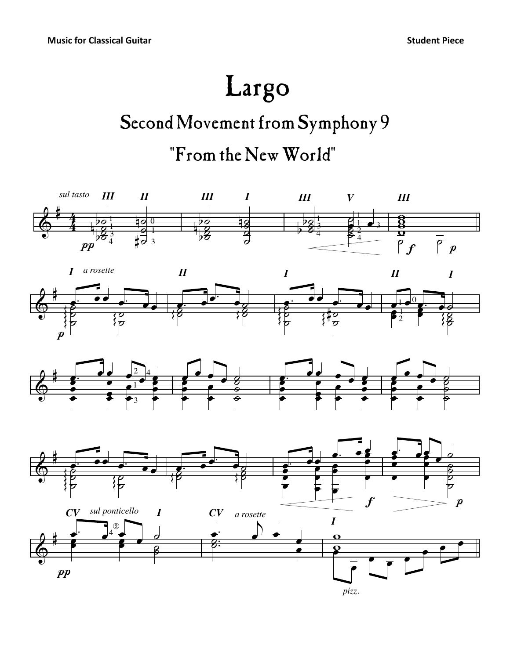## Largo

## Second Movement from Symphony 9 "From the New World"